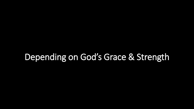# Depending on God's Grace & Strength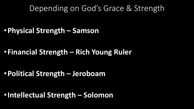#### Depending on God's Grace & Strength

•**Physical Strength – Samson**

•**Financial Strength – Rich Young Ruler**

•**Political Strength – Jeroboam** 

•**Intellectual Strength – Solomon**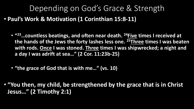# Depending on God's Grace & Strength

- **Paul's Work & Motivation (1 Corinthian 15:8-11)**
	- **" <sup>23</sup>…countless beatings, and often near death. <sup>24</sup>Five times I received at the hands of the Jews the forty lashes less one. <sup>25</sup>Three times I was beaten with rods. Once I was stoned. Three times I was shipwrecked; a night and a day I was adrift at sea…" (2 Cor. 11:23b-25)**
	- **"the grace of God that is with me…" (vs. 10)**

• **"You then, my child, be strengthened by the grace that is in Christ Jesus…" (2 Timothy 2:1)**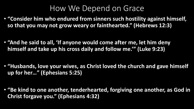### How We Depend on Grace

- **"Consider him who endured from sinners such hostility against himself, so that you may not grow weary or fainthearted." (Hebrews 12:3)**
- **"And he said to all, 'If anyone would come after me, let him deny himself and take up his cross daily and follow me.'" (Luke 9:23)**
- **"Husbands, love your wives, as Christ loved the church and gave himself up for her…" (Ephesians 5:25)**

• **"Be kind to one another, tenderhearted, forgiving one another, as God in Christ forgave you." (Ephesians 4:32)**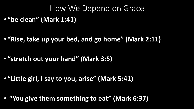## How We Depend on Grace • **"be clean" (Mark 1:41)**

• **"Rise, take up your bed, and go home" (Mark 2:11)**

• **"stretch out your hand" (Mark 3:5)**

• **"Little girl, I say to you, arise" (Mark 5:41)**

• **"You give them something to eat" (Mark 6:37)**